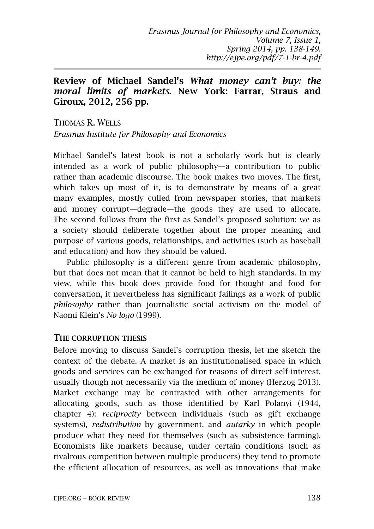# **Review of Michael Sandel's** *What money can't buy: the moral limits of markets***. New York: Farrar, Straus and Giroux, 2012, 256 pp.**

THOMAS R. WELLS *Erasmus Institute for Philosophy and Economics* 

Michael Sandel's latest book is not a scholarly work but is clearly intended as a work of public philosophy—a contribution to public rather than academic discourse. The book makes two moves. The first, which takes up most of it, is to demonstrate by means of a great many examples, mostly culled from newspaper stories, that markets and money corrupt—degrade—the goods they are used to allocate. The second follows from the first as Sandel's proposed solution: we as a society should deliberate together about the proper meaning and purpose of various goods, relationships, and activities (such as baseball and education) and how they should be valued.

Public philosophy is a different genre from academic philosophy, but that does not mean that it cannot be held to high standards. In my view, while this book does provide food for thought and food for conversation, it nevertheless has significant failings as a work of public *philosophy* rather than journalistic social activism on the model of Naomi Klein's *No logo* (1999).

## **THE CORRUPTION THESIS**

Before moving to discuss Sandel's corruption thesis, let me sketch the context of the debate. A market is an institutionalised space in which goods and services can be exchanged for reasons of direct self-interest, usually though not necessarily via the medium of money (Herzog 2013). Market exchange may be contrasted with other arrangements for allocating goods, such as those identified by Karl Polanyi (1944, chapter 4): *reciprocity* between individuals (such as gift exchange systems), *redistribution* by government, and *autarky* in which people produce what they need for themselves (such as subsistence farming). Economists like markets because, under certain conditions (such as rivalrous competition between multiple producers) they tend to promote the efficient allocation of resources, as well as innovations that make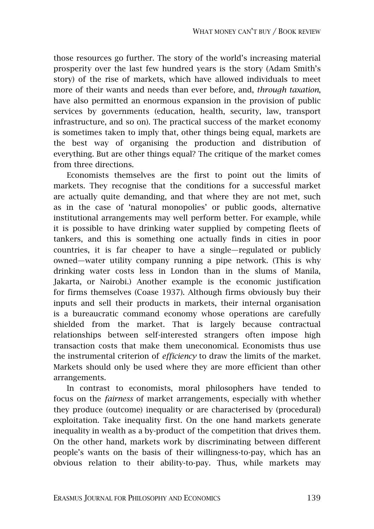those resources go further. The story of the world's increasing material prosperity over the last few hundred years is the story (Adam Smith's story) of the rise of markets, which have allowed individuals to meet more of their wants and needs than ever before, and, *through taxation*, have also permitted an enormous expansion in the provision of public services by governments (education, health, security, law, transport infrastructure, and so on). The practical success of the market economy is sometimes taken to imply that, other things being equal, markets are the best way of organising the production and distribution of everything. But are other things equal? The critique of the market comes from three directions.

Economists themselves are the first to point out the limits of markets. They recognise that the conditions for a successful market are actually quite demanding, and that where they are not met, such as in the case of 'natural monopolies' or public goods, alternative institutional arrangements may well perform better. For example, while it is possible to have drinking water supplied by competing fleets of tankers, and this is something one actually finds in cities in poor countries, it is far cheaper to have a single—regulated or publicly owned—water utility company running a pipe network. (This is why drinking water costs less in London than in the slums of Manila, Jakarta, or Nairobi.) Another example is the economic justification for firms themselves (Coase 1937). Although firms obviously buy their inputs and sell their products in markets, their internal organisation is a bureaucratic command economy whose operations are carefully shielded from the market. That is largely because contractual relationships between self-interested strangers often impose high transaction costs that make them uneconomical. Economists thus use the instrumental criterion of *efficiency* to draw the limits of the market. Markets should only be used where they are more efficient than other arrangements.

In contrast to economists, moral philosophers have tended to focus on the *fairness* of market arrangements, especially with whether they produce (outcome) inequality or are characterised by (procedural) exploitation. Take inequality first. On the one hand markets generate inequality in wealth as a by-product of the competition that drives them. On the other hand, markets work by discriminating between different people's wants on the basis of their willingness-to-pay, which has an obvious relation to their ability-to-pay. Thus, while markets may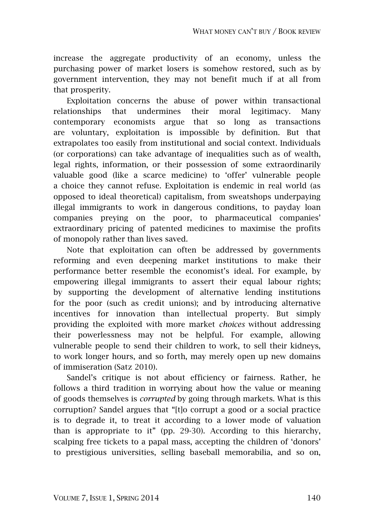increase the aggregate productivity of an economy, unless the purchasing power of market losers is somehow restored, such as by government intervention, they may not benefit much if at all from that prosperity.

Exploitation concerns the abuse of power within transactional relationships that undermines their moral legitimacy. Many contemporary economists argue that so long as transactions are voluntary, exploitation is impossible by definition. But that extrapolates too easily from institutional and social context. Individuals (or corporations) can take advantage of inequalities such as of wealth, legal rights, information, or their possession of some extraordinarily valuable good (like a scarce medicine) to 'offer' vulnerable people a choice they cannot refuse. Exploitation is endemic in real world (as opposed to ideal theoretical) capitalism, from sweatshops underpaying illegal immigrants to work in dangerous conditions, to payday loan companies preying on the poor, to pharmaceutical companies' extraordinary pricing of patented medicines to maximise the profits of monopoly rather than lives saved.

Note that exploitation can often be addressed by governments reforming and even deepening market institutions to make their performance better resemble the economist's ideal. For example, by empowering illegal immigrants to assert their equal labour rights; by supporting the development of alternative lending institutions for the poor (such as credit unions); and by introducing alternative incentives for innovation than intellectual property. But simply providing the exploited with more market *choices* without addressing their powerlessness may not be helpful. For example, allowing vulnerable people to send their children to work, to sell their kidneys, to work longer hours, and so forth, may merely open up new domains of immiseration (Satz 2010).

Sandel's critique is not about efficiency or fairness. Rather, he follows a third tradition in worrying about how the value or meaning of goods themselves is *corrupted* by going through markets. What is this corruption? Sandel argues that "[t]o corrupt a good or a social practice is to degrade it, to treat it according to a lower mode of valuation than is appropriate to it" (pp. 29-30). According to this hierarchy, scalping free tickets to a papal mass, accepting the children of 'donors' to prestigious universities, selling baseball memorabilia, and so on,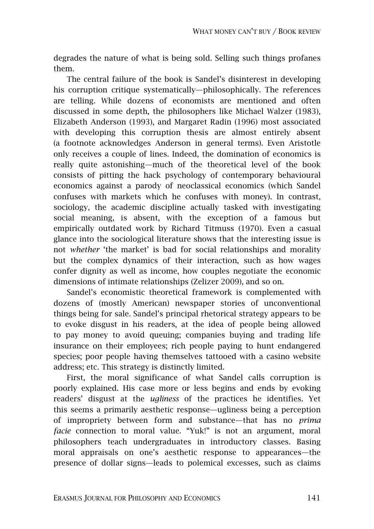degrades the nature of what is being sold. Selling such things profanes them.

The central failure of the book is Sandel's disinterest in developing his corruption critique systematically—philosophically. The references are telling. While dozens of economists are mentioned and often discussed in some depth, the philosophers like Michael Walzer (1983), Elizabeth Anderson (1993), and Margaret Radin (1996) most associated with developing this corruption thesis are almost entirely absent (a footnote acknowledges Anderson in general terms). Even Aristotle only receives a couple of lines. Indeed, the domination of economics is really quite astonishing—much of the theoretical level of the book consists of pitting the hack psychology of contemporary behavioural economics against a parody of neoclassical economics (which Sandel confuses with markets which he confuses with money). In contrast, sociology, the academic discipline actually tasked with investigating social meaning, is absent, with the exception of a famous but empirically outdated work by Richard Titmuss (1970). Even a casual glance into the sociological literature shows that the interesting issue is not *whether* 'the market' is bad for social relationships and morality but the complex dynamics of their interaction, such as how wages confer dignity as well as income, how couples negotiate the economic dimensions of intimate relationships (Zelizer 2009), and so on.

Sandel's economistic theoretical framework is complemented with dozens of (mostly American) newspaper stories of unconventional things being for sale. Sandel's principal rhetorical strategy appears to be to evoke disgust in his readers, at the idea of people being allowed to pay money to avoid queuing; companies buying and trading life insurance on their employees; rich people paying to hunt endangered species; poor people having themselves tattooed with a casino website address; etc. This strategy is distinctly limited.

First, the moral significance of what Sandel calls corruption is poorly explained. His case more or less begins and ends by evoking readers' disgust at the *ugliness* of the practices he identifies. Yet this seems a primarily aesthetic response—ugliness being a perception of impropriety between form and substance—that has no *prima facie* connection to moral value. "Yuk!" is not an argument, moral philosophers teach undergraduates in introductory classes. Basing moral appraisals on one's aesthetic response to appearances—the presence of dollar signs—leads to polemical excesses, such as claims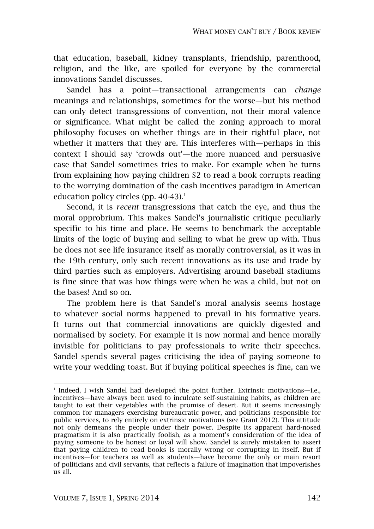that education, baseball, kidney transplants, friendship, parenthood, religion, and the like, are spoiled for everyone by the commercial innovations Sandel discusses.

Sandel has a point—transactional arrangements can *change* meanings and relationships, sometimes for the worse—but his method can only detect transgressions of convention, not their moral valence or significance. What might be called the zoning approach to moral philosophy focuses on whether things are in their rightful place, not whether it matters that they are. This interferes with—perhaps in this context I should say 'crowds out'—the more nuanced and persuasive case that Sandel sometimes tries to make. For example when he turns from explaining how paying children \$2 to read a book corrupts reading to the worrying domination of the cash incentives paradigm in American education policy circles (pp.  $40-43$ ).<sup>1</sup>

Second, it is *recent* transgressions that catch the eye, and thus the moral opprobrium. This makes Sandel's journalistic critique peculiarly specific to his time and place. He seems to benchmark the acceptable limits of the logic of buying and selling to what he grew up with. Thus he does not see life insurance itself as morally controversial, as it was in the 19th century, only such recent innovations as its use and trade by third parties such as employers. Advertising around baseball stadiums is fine since that was how things were when he was a child, but not on the bases! And so on.

The problem here is that Sandel's moral analysis seems hostage to whatever social norms happened to prevail in his formative years. It turns out that commercial innovations are quickly digested and normalised by society. For example it is now normal and hence morally invisible for politicians to pay professionals to write their speeches. Sandel spends several pages criticising the idea of paying someone to write your wedding toast. But if buying political speeches is fine, can we

 $\overline{a}$ 

<sup>1</sup> Indeed, I wish Sandel had developed the point further. Extrinsic motivations—i.e., incentives—have always been used to inculcate self-sustaining habits, as children are taught to eat their vegetables with the promise of desert. But it seems increasingly common for managers exercising bureaucratic power, and politicians responsible for public services, to rely entirely on extrinsic motivations (see Grant 2012). This attitude not only demeans the people under their power. Despite its apparent hard-nosed pragmatism it is also practically foolish, as a moment's consideration of the idea of paying someone to be honest or loyal will show. Sandel is surely mistaken to assert that paying children to read books is morally wrong or corrupting in itself. But if incentives—for teachers as well as students—have become the only or main resort of politicians and civil servants, that reflects a failure of imagination that impoverishes us all.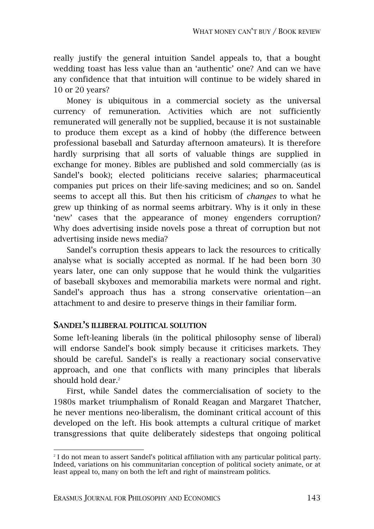really justify the general intuition Sandel appeals to, that a bought wedding toast has less value than an 'authentic' one? And can we have any confidence that that intuition will continue to be widely shared in 10 or 20 years?

Money is ubiquitous in a commercial society as the universal currency of remuneration. Activities which are not sufficiently remunerated will generally not be supplied, because it is not sustainable to produce them except as a kind of hobby (the difference between professional baseball and Saturday afternoon amateurs). It is therefore hardly surprising that all sorts of valuable things are supplied in exchange for money. Bibles are published and sold commercially (as is Sandel's book); elected politicians receive salaries; pharmaceutical companies put prices on their life-saving medicines; and so on. Sandel seems to accept all this. But then his criticism of *changes* to what he grew up thinking of as normal seems arbitrary. Why is it only in these 'new' cases that the appearance of money engenders corruption? Why does advertising inside novels pose a threat of corruption but not advertising inside news media?

Sandel's corruption thesis appears to lack the resources to critically analyse what is socially accepted as normal. If he had been born 30 years later, one can only suppose that he would think the vulgarities of baseball skyboxes and memorabilia markets were normal and right. Sandel's approach thus has a strong conservative orientation—an attachment to and desire to preserve things in their familiar form.

## **SANDEL'S ILLIBERAL POLITICAL SOLUTION**

Some left-leaning liberals (in the political philosophy sense of liberal) will endorse Sandel's book simply because it criticises markets. They should be careful. Sandel's is really a reactionary social conservative approach, and one that conflicts with many principles that liberals should hold dear.<sup>2</sup>

First, while Sandel dates the commercialisation of society to the 1980s market triumphalism of Ronald Reagan and Margaret Thatcher, he never mentions neo-liberalism, the dominant critical account of this developed on the left. His book attempts a cultural critique of market transgressions that quite deliberately sidesteps that ongoing political

 $\overline{a}$ 

<sup>2</sup> I do not mean to assert Sandel's political affiliation with any particular political party. Indeed, variations on his communitarian conception of political society animate, or at least appeal to, many on both the left and right of mainstream politics.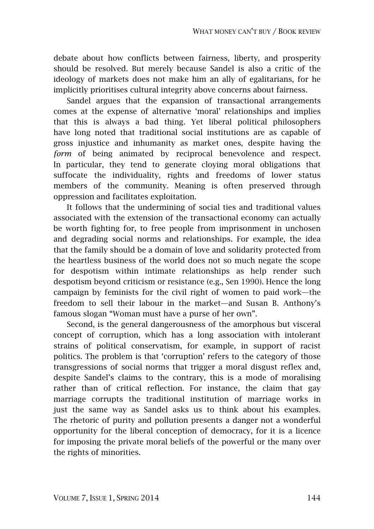debate about how conflicts between fairness, liberty, and prosperity should be resolved. But merely because Sandel is also a critic of the ideology of markets does not make him an ally of egalitarians, for he implicitly prioritises cultural integrity above concerns about fairness.

Sandel argues that the expansion of transactional arrangements comes at the expense of alternative 'moral' relationships and implies that this is always a bad thing. Yet liberal political philosophers have long noted that traditional social institutions are as capable of gross injustice and inhumanity as market ones, despite having the *form* of being animated by reciprocal benevolence and respect. In particular, they tend to generate cloying moral obligations that suffocate the individuality, rights and freedoms of lower status members of the community. Meaning is often preserved through oppression and facilitates exploitation.

It follows that the undermining of social ties and traditional values associated with the extension of the transactional economy can actually be worth fighting for, to free people from imprisonment in unchosen and degrading social norms and relationships. For example, the idea that the family should be a domain of love and solidarity protected from the heartless business of the world does not so much negate the scope for despotism within intimate relationships as help render such despotism beyond criticism or resistance (e.g., Sen 1990). Hence the long campaign by feminists for the civil right of women to paid work—the freedom to sell their labour in the market—and Susan B. Anthony's famous slogan "Woman must have a purse of her own".

Second, is the general dangerousness of the amorphous but visceral concept of corruption, which has a long association with intolerant strains of political conservatism, for example, in support of racist politics. The problem is that 'corruption' refers to the category of those transgressions of social norms that trigger a moral disgust reflex and, despite Sandel's claims to the contrary, this is a mode of moralising rather than of critical reflection. For instance, the claim that gay marriage corrupts the traditional institution of marriage works in just the same way as Sandel asks us to think about his examples. The rhetoric of purity and pollution presents a danger not a wonderful opportunity for the liberal conception of democracy, for it is a licence for imposing the private moral beliefs of the powerful or the many over the rights of minorities.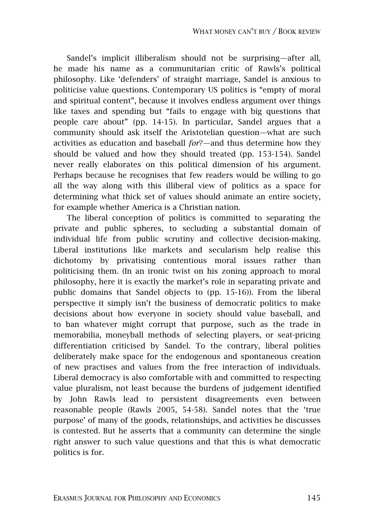Sandel's implicit illiberalism should not be surprising—after all, he made his name as a communitarian critic of Rawls's political philosophy. Like 'defenders' of straight marriage, Sandel is anxious to politicise value questions. Contemporary US politics is "empty of moral and spiritual content", because it involves endless argument over things like taxes and spending but "fails to engage with big questions that people care about" (pp. 14-15). In particular, Sandel argues that a community should ask itself the Aristotelian question—what are such activities as education and baseball *for*?—and thus determine how they should be valued and how they should treated (pp. 153-154). Sandel never really elaborates on this political dimension of his argument. Perhaps because he recognises that few readers would be willing to go all the way along with this illiberal view of politics as a space for determining what thick set of values should animate an entire society, for example whether America is a Christian nation.

The liberal conception of politics is committed to separating the private and public spheres, to secluding a substantial domain of individual life from public scrutiny and collective decision-making. Liberal institutions like markets and secularism help realise this dichotomy by privatising contentious moral issues rather than politicising them. (In an ironic twist on his zoning approach to moral philosophy, here it is exactly the market's role in separating private and public domains that Sandel objects to (pp. 15-16)). From the liberal perspective it simply isn't the business of democratic politics to make decisions about how everyone in society should value baseball, and to ban whatever might corrupt that purpose, such as the trade in memorabilia, moneyball methods of selecting players, or seat-pricing differentiation criticised by Sandel. To the contrary, liberal polities deliberately make space for the endogenous and spontaneous creation of new practises and values from the free interaction of individuals. Liberal democracy is also comfortable with and committed to respecting value pluralism, not least because the burdens of judgement identified by John Rawls lead to persistent disagreements even between reasonable people (Rawls 2005, 54-58). Sandel notes that the 'true purpose' of many of the goods, relationships, and activities he discusses is contested. But he asserts that a community can determine the single right answer to such value questions and that this is what democratic politics is for.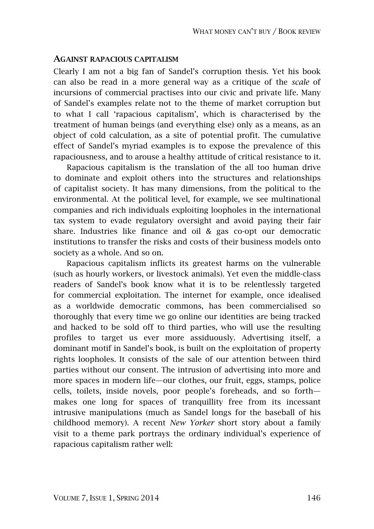#### **AGAINST RAPACIOUS CAPITALISM**

Clearly I am not a big fan of Sandel's corruption thesis. Yet his book can also be read in a more general way as a critique of the *scale* of incursions of commercial practises into our civic and private life. Many of Sandel's examples relate not to the theme of market corruption but to what I call 'rapacious capitalism', which is characterised by the treatment of human beings (and everything else) only as a means, as an object of cold calculation, as a site of potential profit. The cumulative effect of Sandel's myriad examples is to expose the prevalence of this rapaciousness, and to arouse a healthy attitude of critical resistance to it.

Rapacious capitalism is the translation of the all too human drive to dominate and exploit others into the structures and relationships of capitalist society. It has many dimensions, from the political to the environmental. At the political level, for example, we see multinational companies and rich individuals exploiting loopholes in the international tax system to evade regulatory oversight and avoid paying their fair share. Industries like finance and oil & gas co-opt our democratic institutions to transfer the risks and costs of their business models onto society as a whole. And so on.

Rapacious capitalism inflicts its greatest harms on the vulnerable (such as hourly workers, or livestock animals). Yet even the middle-class readers of Sandel's book know what it is to be relentlessly targeted for commercial exploitation. The internet for example, once idealised as a worldwide democratic commons, has been commercialised so thoroughly that every time we go online our identities are being tracked and hacked to be sold off to third parties, who will use the resulting profiles to target us ever more assiduously. Advertising itself, a dominant motif in Sandel's book, is built on the exploitation of property rights loopholes. It consists of the sale of our attention between third parties without our consent. The intrusion of advertising into more and more spaces in modern life—our clothes, our fruit, eggs, stamps, police cells, toilets, inside novels, poor people's foreheads, and so forth makes one long for spaces of tranquillity free from its incessant intrusive manipulations (much as Sandel longs for the baseball of his childhood memory). A recent *New Yorker* short story about a family visit to a theme park portrays the ordinary individual's experience of rapacious capitalism rather well: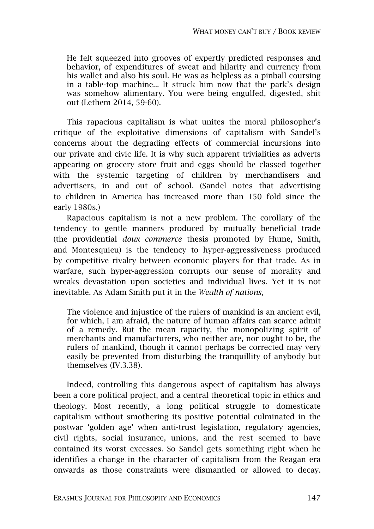He felt squeezed into grooves of expertly predicted responses and behavior, of expenditures of sweat and hilarity and currency from his wallet and also his soul. He was as helpless as a pinball coursing in a table-top machine... It struck him now that the park's design was somehow alimentary. You were being engulfed, digested, shit out (Lethem 2014, 59-60).

This rapacious capitalism is what unites the moral philosopher's critique of the exploitative dimensions of capitalism with Sandel's concerns about the degrading effects of commercial incursions into our private and civic life. It is why such apparent trivialities as adverts appearing on grocery store fruit and eggs should be classed together with the systemic targeting of children by merchandisers and advertisers, in and out of school. (Sandel notes that advertising to children in America has increased more than 150 fold since the early 1980s.)

Rapacious capitalism is not a new problem. The corollary of the tendency to gentle manners produced by mutually beneficial trade (the providential *doux commerce* thesis promoted by Hume, Smith, and Montesquieu) is the tendency to hyper-aggressiveness produced by competitive rivalry between economic players for that trade. As in warfare, such hyper-aggression corrupts our sense of morality and wreaks devastation upon societies and individual lives. Yet it is not inevitable. As Adam Smith put it in the *Wealth of nations*,

The violence and injustice of the rulers of mankind is an ancient evil, for which, I am afraid, the nature of human affairs can scarce admit of a remedy. But the mean rapacity, the monopolizing spirit of merchants and manufacturers, who neither are, nor ought to be, the rulers of mankind, though it cannot perhaps be corrected may very easily be prevented from disturbing the tranquillity of anybody but themselves (IV.3.38).

Indeed, controlling this dangerous aspect of capitalism has always been a core political project, and a central theoretical topic in ethics and theology. Most recently, a long political struggle to domesticate capitalism without smothering its positive potential culminated in the postwar 'golden age' when anti-trust legislation, regulatory agencies, civil rights, social insurance, unions, and the rest seemed to have contained its worst excesses. So Sandel gets something right when he identifies a change in the character of capitalism from the Reagan era onwards as those constraints were dismantled or allowed to decay.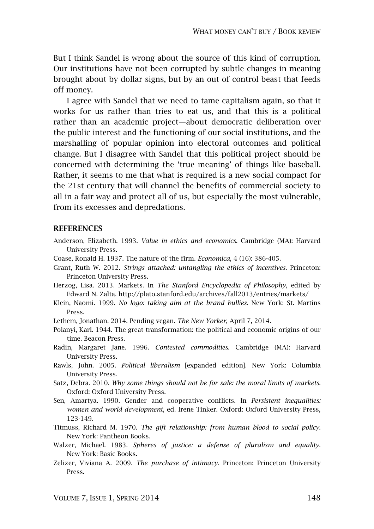But I think Sandel is wrong about the source of this kind of corruption. Our institutions have not been corrupted by subtle changes in meaning brought about by dollar signs, but by an out of control beast that feeds off money.

I agree with Sandel that we need to tame capitalism again, so that it works for us rather than tries to eat us, and that this is a political rather than an academic project—about democratic deliberation over the public interest and the functioning of our social institutions, and the marshalling of popular opinion into electoral outcomes and political change. But I disagree with Sandel that this political project should be concerned with determining the 'true meaning' of things like baseball. Rather, it seems to me that what is required is a new social compact for the 21st century that will channel the benefits of commercial society to all in a fair way and protect all of us, but especially the most vulnerable, from its excesses and depredations.

#### **REFERENCES**

- Anderson, Elizabeth. 1993. *Value in ethics and economics*. Cambridge (MA): Harvard University Press.
- Coase, Ronald H. 1937. The nature of the firm. *Economica*, 4 (16): 386-405.
- Grant, Ruth W. 2012. *Strings attached: untangling the ethics of incentives*. Princeton: Princeton University Press.
- Herzog, Lisa. 2013. Markets. In *The Stanford Encyclopedia of Philosophy*, edited by Edward N. Zalta. http://plato.stanford.edu/archives/fall2013/entries/markets/
- Klein, Naomi. 1999. *No logo: taking aim at the brand bullies*. New York: St. Martins Press.
- Lethem, Jonathan. 2014. Pending vegan. *The New Yorker*, April 7, 2014.
- Polanyi, Karl. 1944. The great transformation: the political and economic origins of our time. Beacon Press.
- Radin, Margaret Jane. 1996. *Contested commodities*. Cambridge (MA): Harvard University Press.
- Rawls, John. 2005. *Political liberalism* [expanded edition]. New York: Columbia University Press.
- Satz, Debra. 2010. *Why some things should not be for sale: the moral limits of markets*. Oxford: Oxford University Press.
- Sen, Amartya. 1990. Gender and cooperative conflicts. In *Persistent inequalities: women and world development*, ed. Irene Tinker. Oxford: Oxford University Press, 123-149.
- Titmuss, Richard M. 1970. *The gift relationship: from human blood to social policy*. New York: Pantheon Books.
- Walzer, Michael. 1983. *Spheres of justice: a defense of pluralism and equality*. New York: Basic Books.
- Zelizer, Viviana A. 2009. *The purchase of intimacy*. Princeton: Princeton University Press.

VOLUME 7, ISSUE 1, SPRING 2014 148